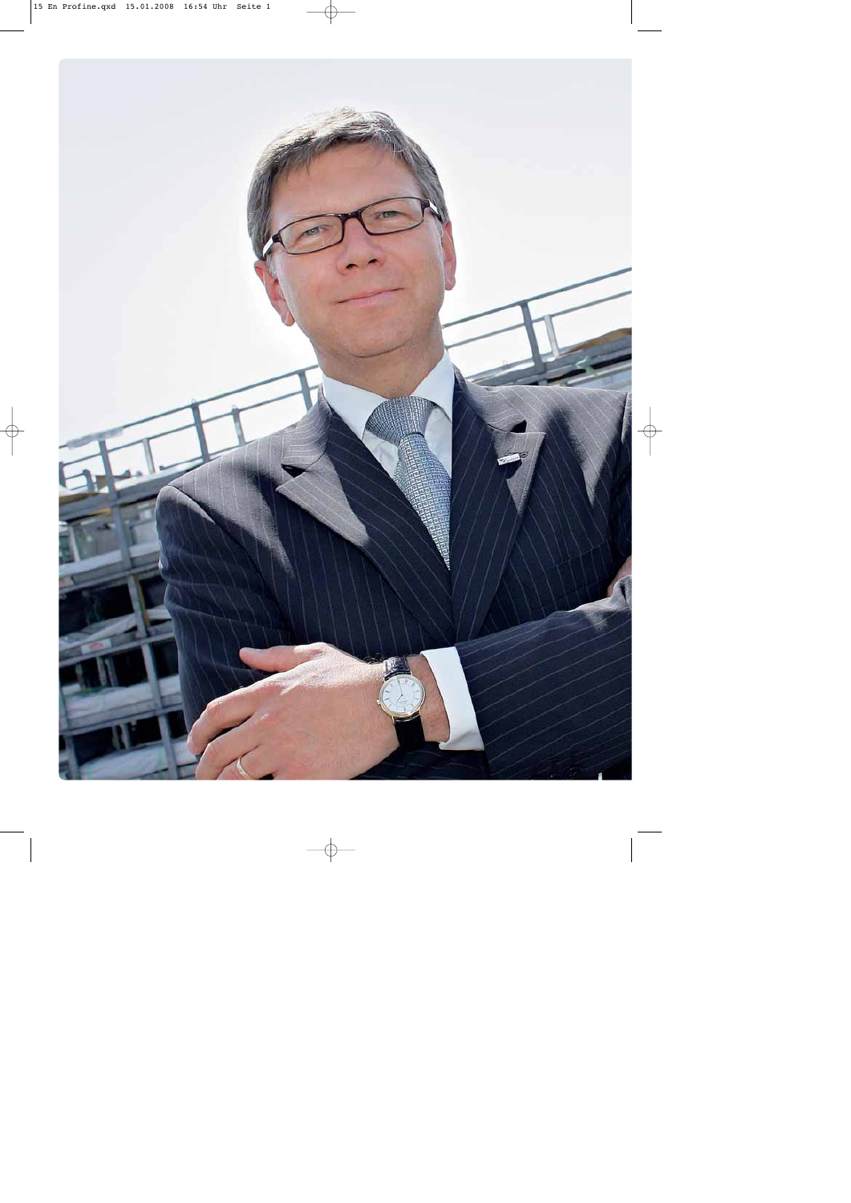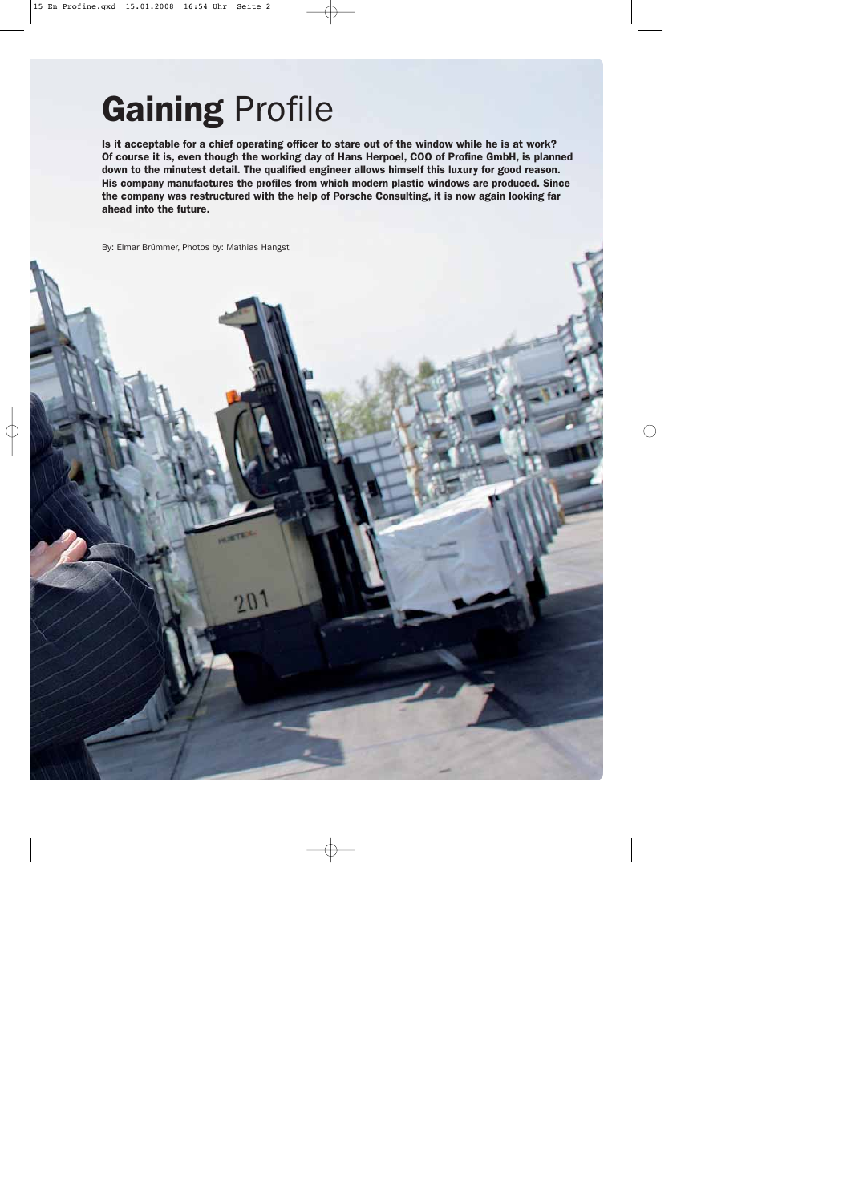## **Gaining** Profile

**Is it acceptable for a chief operating officer to stare out of the window while he is at work? Of course it is, even though the working day of Hans Herpoel, COO of Profine GmbH, is planned down to the minutest detail. The qualified engineer allows himself this luxury for good reason. His company manufactures the profiles from which modern plastic windows are produced. Since the company was restructured with the help of Porsche Consulting, it is now again looking far ahead into the future.**

By: Elmar Brümmer, Photos by: Mathias Hangst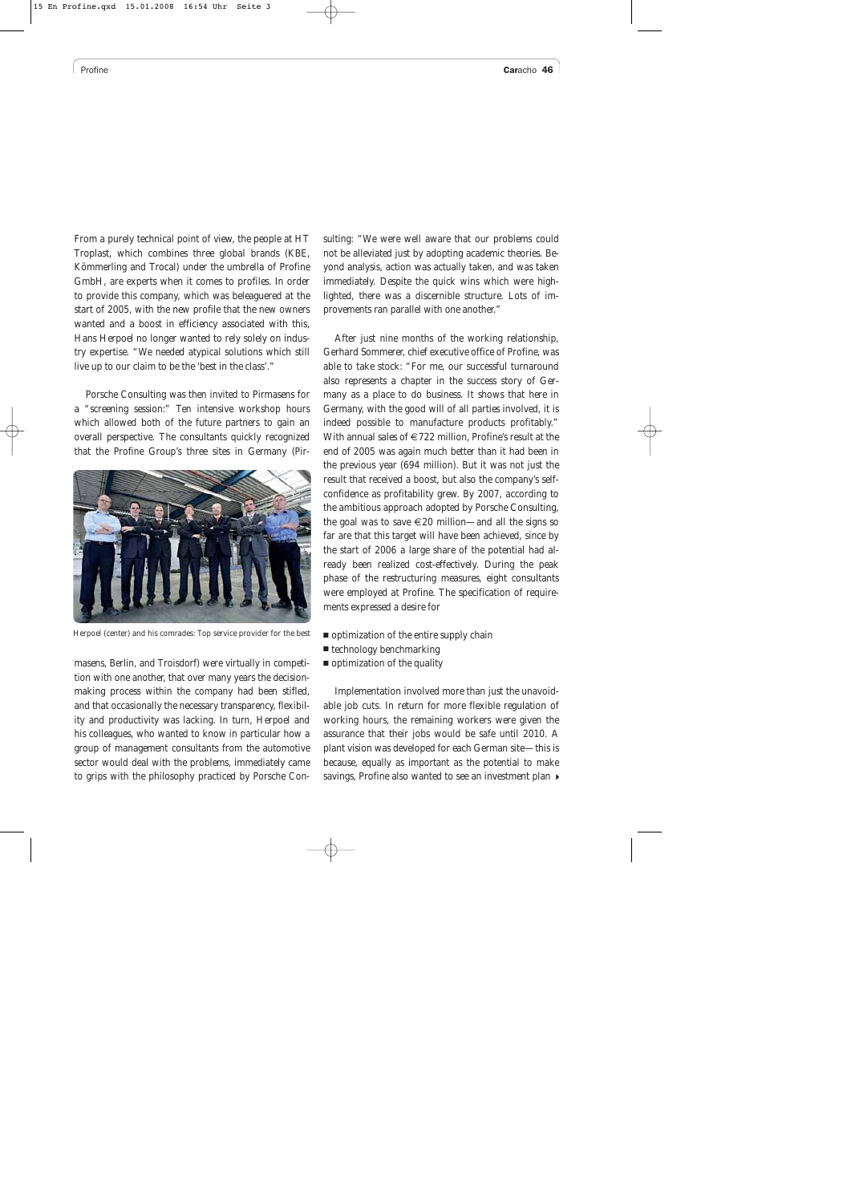From a purely technical point of view, the people at HT Troplast, which combines three global brands (KBE, Kömmerling and Trocal) under the umbrella of Profine GmbH, are experts when it comes to profiles. In order to provide this company, which was beleaguered at the start of 2005, with the new profile that the new owners wanted and a boost in efficiency associated with this, Hans Herpoel no longer wanted to rely solely on industry expertise. "We needed atypical solutions which still live up to our claim to be the 'best in the class'."

Porsche Consulting was then invited to Pirmasens for a "screening session:" Ten intensive workshop hours which allowed both of the future partners to gain an overall perspective. The consultants quickly recognized that the Profine Group's three sites in Germany (Pir-



Herpoel (center) and his comrades: Top service provider for the best

masens, Berlin, and Troisdorf) were virtually in competition with one another, that over many years the decisionmaking process within the company had been stifled, and that occasionally the necessary transparency, flexibility and productivity was lacking. In turn, Herpoel and his colleagues, who wanted to know in particular how a group of management consultants from the automotive sector would deal with the problems, immediately came to grips with the philosophy practiced by Porsche Consulting: "We were well aware that our problems could not be alleviated just by adopting academic theories. Beyond analysis, action was actually taken, and was taken immediately. Despite the quick wins which were highlighted, there was a discernible structure. Lots of improvements ran parallel with one another."

After just nine months of the working relationship, Gerhard Sommerer, chief executive office of Profine, was able to take stock: "For me, our successful turnaround also represents a chapter in the success story of Germany as a place to do business. It shows that here in Germany, with the good will of all parties involved, it is indeed possible to manufacture products profitably." With annual sales of  $\in 722$  million, Profine's result at the end of 2005 was again much better than it had been in the previous year (694 million). But it was not just the result that received a boost, but also the company's selfconfidence as profitability grew. By 2007, according to the ambitious approach adopted by Porsche Consulting, the goal was to save  $\epsilon$  20 million—and all the signs so far are that this target will have been achieved, since by the start of 2006 a large share of the potential had already been realized cost-effectively. During the peak phase of the restructuring measures, eight consultants were employed at Profine. The specification of requirements expressed a desire for

- optimization of the entire supply chain
- technology benchmarking
- optimization of the quality

Implementation involved more than just the unavoidable job cuts. In return for more flexible regulation of working hours, the remaining workers were given the assurance that their jobs would be safe until 2010. A plant vision was developed for each German site—this is because, equally as important as the potential to make savings, Profine also wanted to see an investment plan  $\rightarrow$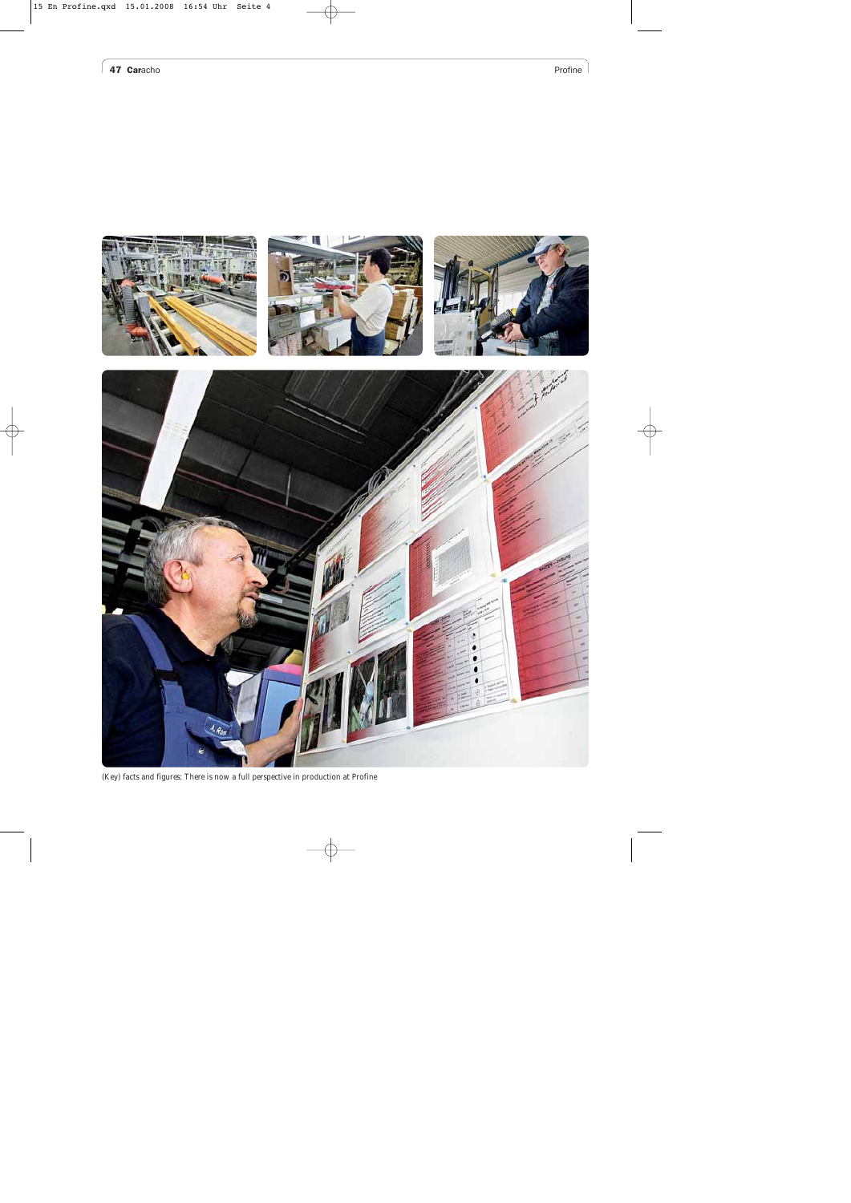

(Key) facts and figures: There is now a full perspective in production at Profine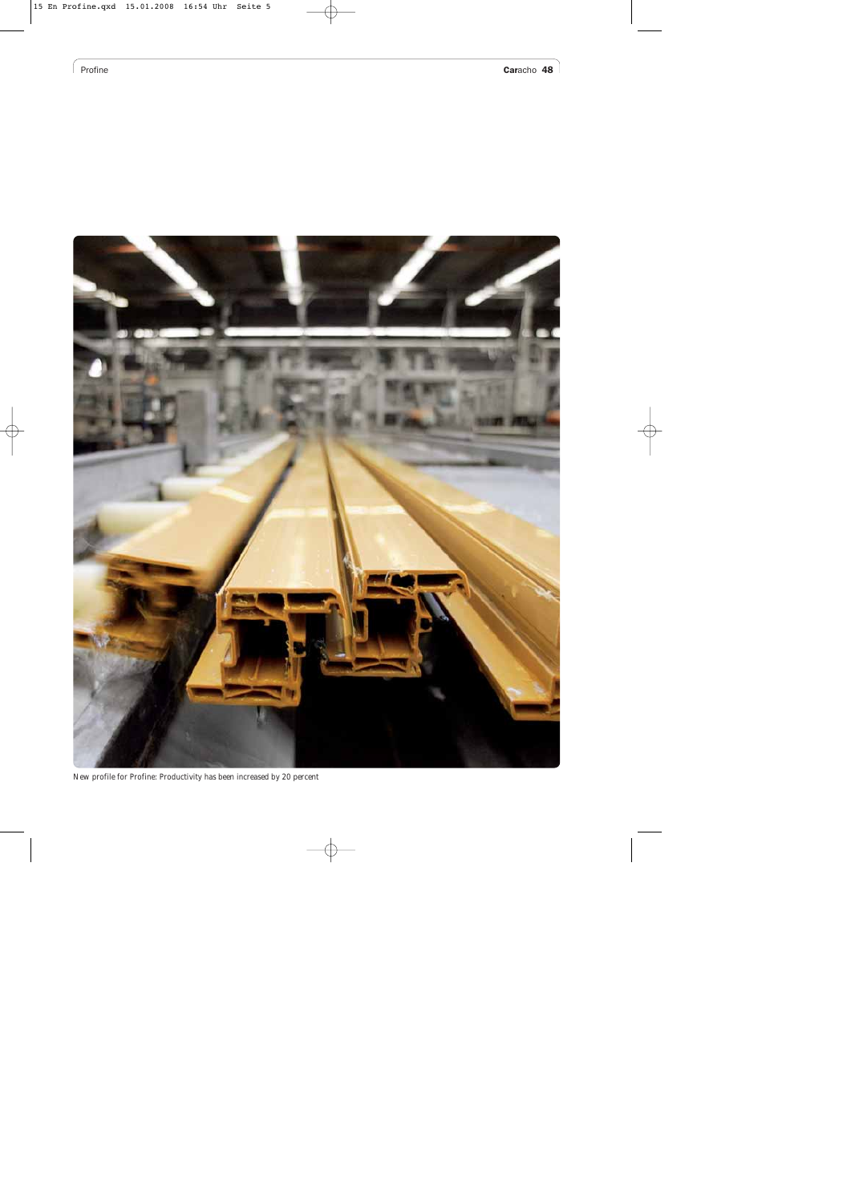

New profile for Profine: Productivity has been increased by 20 percent